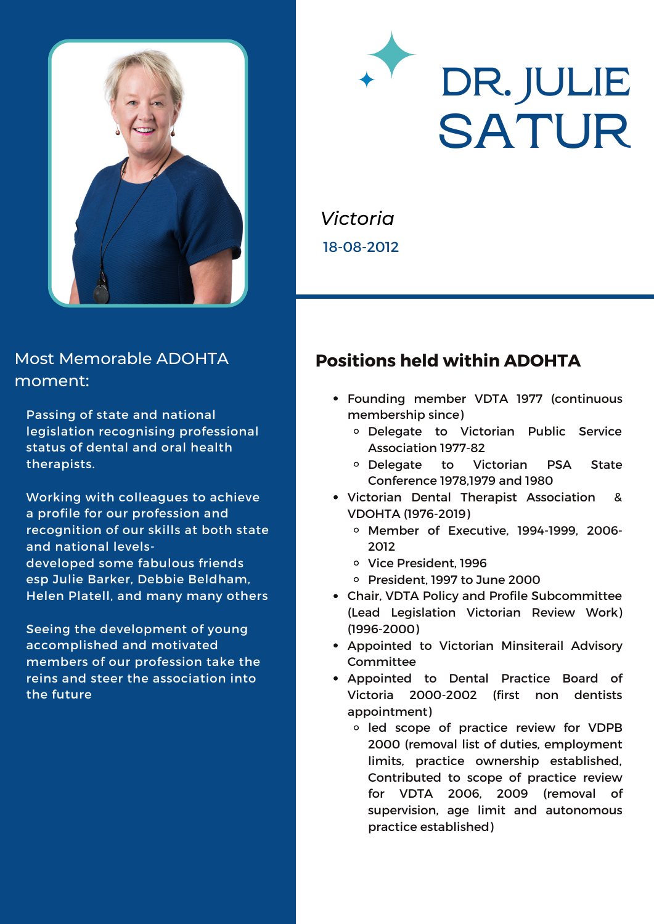

#### Most Memorable ADOHTA moment:

Passing of state and national legislation recognising professional status of dental and oral health therapists.

Working with colleagues to achieve a profile for our profession and recognition of our skills at both state and national levelsdeveloped some fabulous friends esp Julie Barker, Debbie Beldham, Helen Platell, and many many others

Seeing the development of young accomplished and motivated members of our profession take the reins and steer the association into the future

# **DR. JULIE SATUR**

*Victoria* 18-08-2012

### **Positions held within ADOHTA**

- Founding member VDTA 1977 (continuous membership since)
	- Delegate to Victorian Public Service Association 1977-82
	- Delegate to Victorian PSA State Conference 1978,1979 and 1980
- Victorian Dental Therapist Association & VDOHTA (1976-2019)
	- Member of Executive, 1994-1999, 2006- 2012
	- o Vice President, 1996
	- o President, 1997 to June 2000
- Chair, VDTA Policy and Profile Subcommittee (Lead Legislation Victorian Review Work) (1996-2000)
- Appointed to Victorian Minsiterail Advisory Committee
- Appointed to Dental Practice Board of Victoria 2000-2002 (first non dentists appointment)
	- <sup>o</sup> led scope of practice review for VDPB 2000 (removal list of duties, employment limits, practice ownership established, Contributed to scope of practice review for VDTA 2006, 2009 (removal of supervision, age limit and autonomous practice established)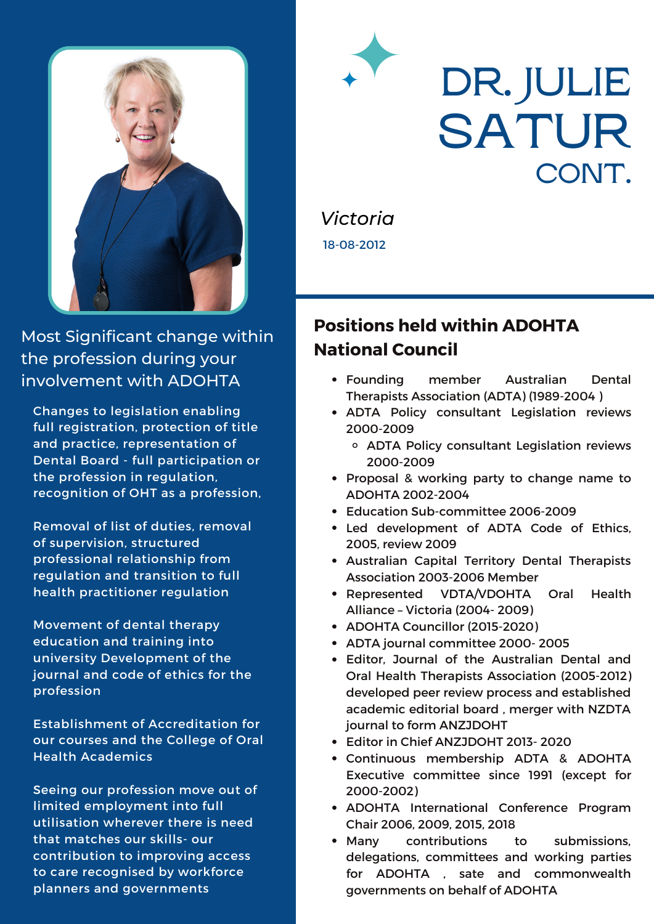

Most Significant change within the profession during your involvement with ADOHTA

Changes to legislation enabling full registration, protection of title and practice, representation of Dental Board - full participation or the profession in regulation, recognition of OHT as a profession,

Removal of list of duties, removal of supervision, structured professional relationship from regulation and transition to full health practitioner regulation

Movement of dental therapy education and training into university Development of the journal and code of ethics for the profession

Establishment of Accreditation for our courses and the College of Oral Health Academics

Seeing our profession move out of limited employment into full utilisation wherever there is need that matches our skills- our contribution to improving access to care recognised by workforce planners and governments

### **DR. JULIE SATUR CONT.**

*Victoria* 18-08-2012

### **Positions held within ADOHTA National Council**

- Founding member Australian Dental Therapists Association (ADTA) (1989-2004 )
- ADTA Policy consultant Legislation reviews 2000-2009
	- ADTA Policy consultant Legislation reviews 2000-2009
- Proposal & working party to change name to ADOHTA 2002-2004
- Education Sub-committee 2006-2009
- Led development of ADTA Code of Ethics, 2005, review 2009
- Australian Capital Territory Dental Therapists Association 2003-2006 Member
- Represented VDTA/VDOHTA Oral Health Alliance – Victoria (2004- 2009)
- ADOHTA Councillor (2015-2020)
- ADTA journal committee 2000- 2005
- Editor, Journal of the Australian Dental and Oral Health Therapists Association (2005-2012) developed peer review process and established academic editorial board , merger with NZDTA journal to form ANZJDOHT
- Editor in Chief ANZJDOHT 2013- 2020
- Continuous membership ADTA & ADOHTA Executive committee since 1991 (except for 2000-2002)
- ADOHTA International Conference Program Chair 2006, 2009, 2015, 2018
- Many contributions to submissions, delegations, committees and working parties for ADOHTA , sate and commonwealth governments on behalf of ADOHTA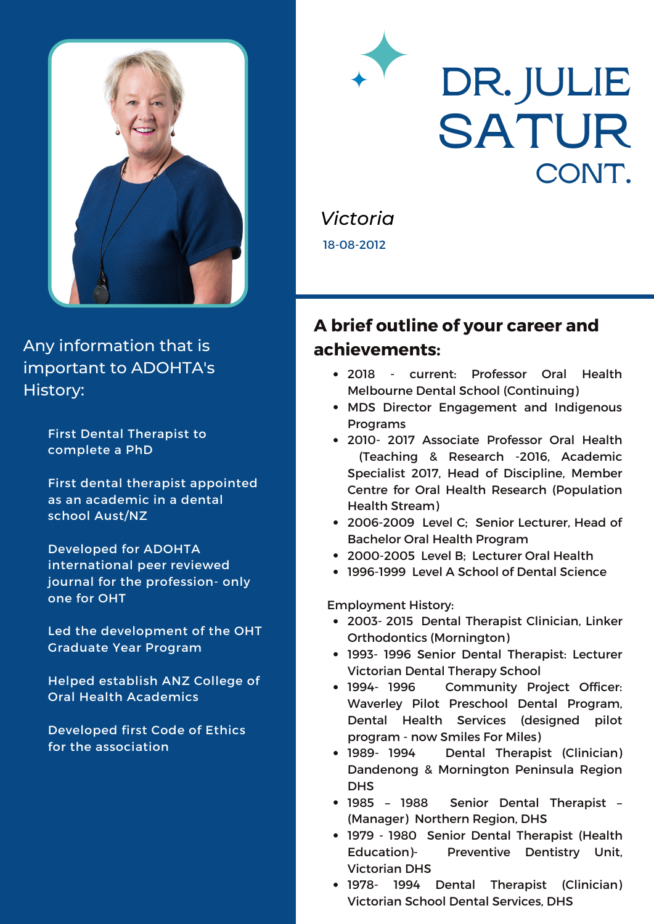

Any information that is important to ADOHTA's History:

> First Dental Therapist to complete a PhD

First dental therapist appointed as an academic in a dental school Aust/NZ

Developed for ADOHTA international peer reviewed journal for the profession- only one for OHT

Led the development of the OHT Graduate Year Program

Helped establish ANZ College of Oral Health Academics

Developed first Code of Ethics for the association

## **DR. JULIE SATUR CONT.**

*Victoria* 18-08-2012

### **A brief outline of your career and achievements:**

- 2018 current: Professor Oral Health Melbourne Dental School (Continuing)
- MDS Director Engagement and Indigenous Programs
- 2010- 2017 Associate Professor Oral Health (Teaching & Research -2016, Academic Specialist 2017, Head of Discipline, Member Centre for Oral Health Research (Population Health Stream)
- 2006-2009 Level C; Senior Lecturer, Head of Bachelor Oral Health Program
- 2000-2005 Level B; Lecturer Oral Health
- 1996-1999 Level A School of Dental Science

Employment History:

- 2003- 2015 Dental Therapist Clinician, Linker Orthodontics (Mornington)
- 1993- 1996 Senior Dental Therapist: Lecturer Victorian Dental Therapy School
- 1994- 1996 Community Project Officer: Waverley Pilot Preschool Dental Program, Dental Health Services (designed pilot program - now Smiles For Miles)
- 1989- 1994 Dental Therapist (Clinician) Dandenong & Mornington Peninsula Region **DHS**
- 1985 1988 Senior Dental Therapist (Manager) Northern Region, DHS
- 1979 1980 Senior Dental Therapist (Health Education)- Preventive Dentistry Unit, Victorian DHS
- 1978- 1994 Dental Therapist (Clinician) Victorian School Dental Services, DHS